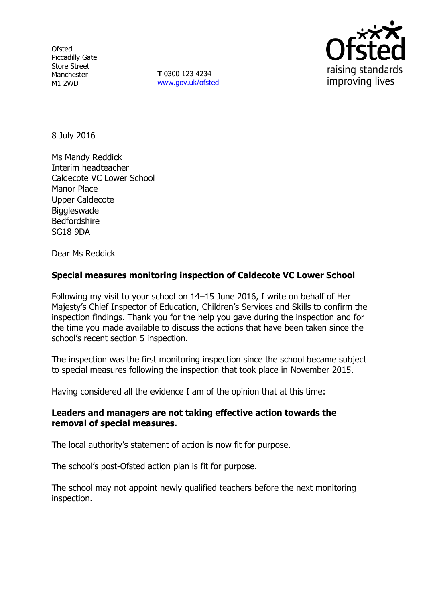**Ofsted** Piccadilly Gate Store Street Manchester M1 2WD

**T** 0300 123 4234 www.gov.uk/ofsted



8 July 2016

Ms Mandy Reddick Interim headteacher Caldecote VC Lower School Manor Place Upper Caldecote **Biggleswade** Bedfordshire SG18 9DA

Dear Ms Reddick

# **Special measures monitoring inspection of Caldecote VC Lower School**

Following my visit to your school on 14–15 June 2016, I write on behalf of Her Majesty's Chief Inspector of Education, Children's Services and Skills to confirm the inspection findings. Thank you for the help you gave during the inspection and for the time you made available to discuss the actions that have been taken since the school's recent section 5 inspection.

The inspection was the first monitoring inspection since the school became subject to special measures following the inspection that took place in November 2015.

Having considered all the evidence I am of the opinion that at this time:

### **Leaders and managers are not taking effective action towards the removal of special measures.**

The local authority's statement of action is now fit for purpose.

The school's post-Ofsted action plan is fit for purpose.

The school may not appoint newly qualified teachers before the next monitoring inspection.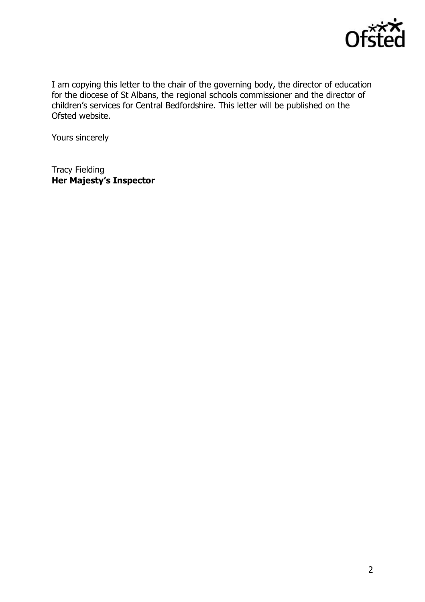

I am copying this letter to the chair of the governing body, the director of education for the diocese of St Albans, the regional schools commissioner and the director of children's services for Central Bedfordshire. This letter will be published on the Ofsted website.

Yours sincerely

Tracy Fielding **Her Majesty's Inspector**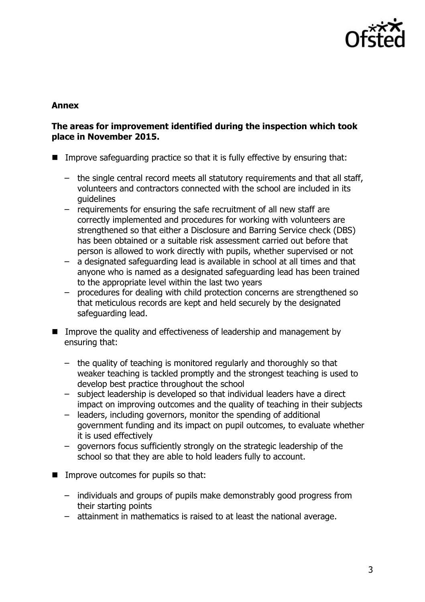

### **Annex**

#### **The areas for improvement identified during the inspection which took place in November 2015.**

- Improve safeguarding practice so that it is fully effective by ensuring that:
	- the single central record meets all statutory requirements and that all staff, volunteers and contractors connected with the school are included in its guidelines
	- requirements for ensuring the safe recruitment of all new staff are correctly implemented and procedures for working with volunteers are strengthened so that either a Disclosure and Barring Service check (DBS) has been obtained or a suitable risk assessment carried out before that person is allowed to work directly with pupils, whether supervised or not
	- a designated safeguarding lead is available in school at all times and that anyone who is named as a designated safeguarding lead has been trained to the appropriate level within the last two years
	- procedures for dealing with child protection concerns are strengthened so that meticulous records are kept and held securely by the designated safeguarding lead.
- **IMPROVE THE GUALARY CONGERGED** Improve the quality and effectiveness of leadership and management by ensuring that:
	- the quality of teaching is monitored regularly and thoroughly so that weaker teaching is tackled promptly and the strongest teaching is used to develop best practice throughout the school
	- subject leadership is developed so that individual leaders have a direct impact on improving outcomes and the quality of teaching in their subjects
	- leaders, including governors, monitor the spending of additional government funding and its impact on pupil outcomes, to evaluate whether it is used effectively
	- governors focus sufficiently strongly on the strategic leadership of the school so that they are able to hold leaders fully to account.
- $\blacksquare$  Improve outcomes for pupils so that:
	- individuals and groups of pupils make demonstrably good progress from their starting points
	- attainment in mathematics is raised to at least the national average.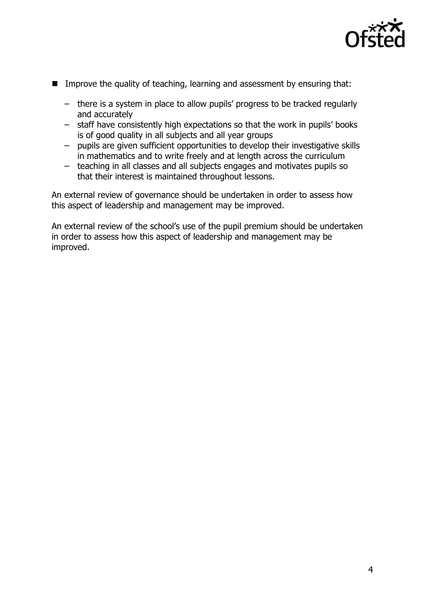

- Improve the quality of teaching, learning and assessment by ensuring that:
	- there is a system in place to allow pupils' progress to be tracked regularly and accurately
	- staff have consistently high expectations so that the work in pupils' books is of good quality in all subjects and all year groups
	- pupils are given sufficient opportunities to develop their investigative skills in mathematics and to write freely and at length across the curriculum
	- teaching in all classes and all subjects engages and motivates pupils so that their interest is maintained throughout lessons.

An external review of governance should be undertaken in order to assess how this aspect of leadership and management may be improved.

An external review of the school's use of the pupil premium should be undertaken in order to assess how this aspect of leadership and management may be improved.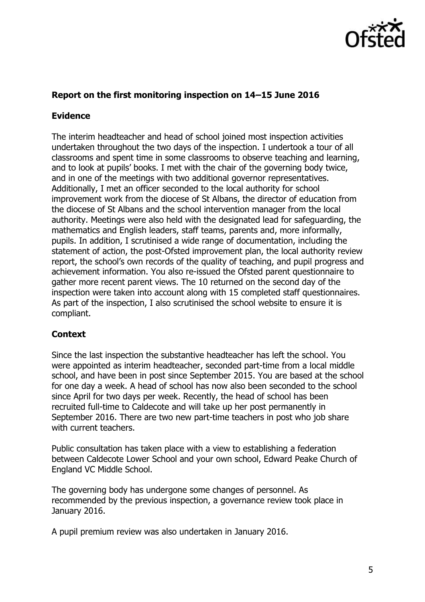

# **Report on the first monitoring inspection on 14–15 June 2016**

## **Evidence**

The interim headteacher and head of school joined most inspection activities undertaken throughout the two days of the inspection. I undertook a tour of all classrooms and spent time in some classrooms to observe teaching and learning, and to look at pupils' books. I met with the chair of the governing body twice, and in one of the meetings with two additional governor representatives. Additionally, I met an officer seconded to the local authority for school improvement work from the diocese of St Albans, the director of education from the diocese of St Albans and the school intervention manager from the local authority. Meetings were also held with the designated lead for safeguarding, the mathematics and English leaders, staff teams, parents and, more informally, pupils. In addition, I scrutinised a wide range of documentation, including the statement of action, the post-Ofsted improvement plan, the local authority review report, the school's own records of the quality of teaching, and pupil progress and achievement information. You also re-issued the Ofsted parent questionnaire to gather more recent parent views. The 10 returned on the second day of the inspection were taken into account along with 15 completed staff questionnaires. As part of the inspection, I also scrutinised the school website to ensure it is compliant.

# **Context**

Since the last inspection the substantive headteacher has left the school. You were appointed as interim headteacher, seconded part-time from a local middle school, and have been in post since September 2015. You are based at the school for one day a week. A head of school has now also been seconded to the school since April for two days per week. Recently, the head of school has been recruited full-time to Caldecote and will take up her post permanently in September 2016. There are two new part-time teachers in post who job share with current teachers.

Public consultation has taken place with a view to establishing a federation between Caldecote Lower School and your own school, Edward Peake Church of England VC Middle School.

The governing body has undergone some changes of personnel. As recommended by the previous inspection, a governance review took place in January 2016.

A pupil premium review was also undertaken in January 2016.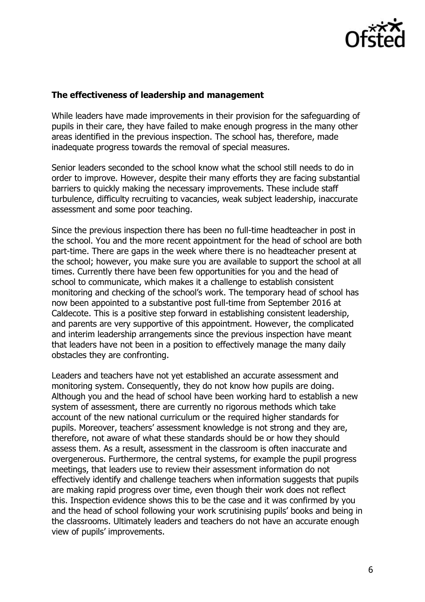

#### **The effectiveness of leadership and management**

While leaders have made improvements in their provision for the safeguarding of pupils in their care, they have failed to make enough progress in the many other areas identified in the previous inspection. The school has, therefore, made inadequate progress towards the removal of special measures.

Senior leaders seconded to the school know what the school still needs to do in order to improve. However, despite their many efforts they are facing substantial barriers to quickly making the necessary improvements. These include staff turbulence, difficulty recruiting to vacancies, weak subject leadership, inaccurate assessment and some poor teaching.

Since the previous inspection there has been no full-time headteacher in post in the school. You and the more recent appointment for the head of school are both part-time. There are gaps in the week where there is no headteacher present at the school; however, you make sure you are available to support the school at all times. Currently there have been few opportunities for you and the head of school to communicate, which makes it a challenge to establish consistent monitoring and checking of the school's work. The temporary head of school has now been appointed to a substantive post full-time from September 2016 at Caldecote. This is a positive step forward in establishing consistent leadership, and parents are very supportive of this appointment. However, the complicated and interim leadership arrangements since the previous inspection have meant that leaders have not been in a position to effectively manage the many daily obstacles they are confronting.

Leaders and teachers have not yet established an accurate assessment and monitoring system. Consequently, they do not know how pupils are doing. Although you and the head of school have been working hard to establish a new system of assessment, there are currently no rigorous methods which take account of the new national curriculum or the required higher standards for pupils. Moreover, teachers' assessment knowledge is not strong and they are, therefore, not aware of what these standards should be or how they should assess them. As a result, assessment in the classroom is often inaccurate and overgenerous. Furthermore, the central systems, for example the pupil progress meetings, that leaders use to review their assessment information do not effectively identify and challenge teachers when information suggests that pupils are making rapid progress over time, even though their work does not reflect this. Inspection evidence shows this to be the case and it was confirmed by you and the head of school following your work scrutinising pupils' books and being in the classrooms. Ultimately leaders and teachers do not have an accurate enough view of pupils' improvements.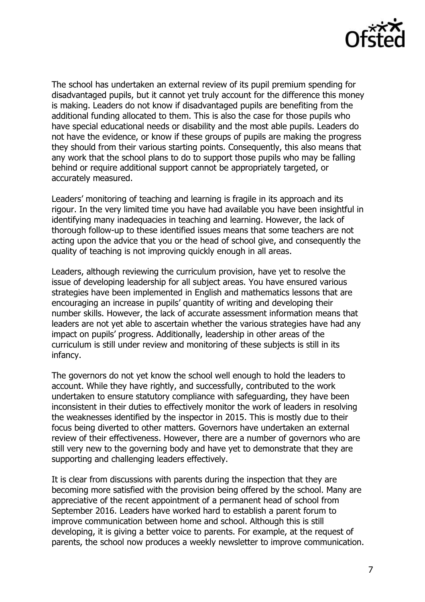

The school has undertaken an external review of its pupil premium spending for disadvantaged pupils, but it cannot yet truly account for the difference this money is making. Leaders do not know if disadvantaged pupils are benefiting from the additional funding allocated to them. This is also the case for those pupils who have special educational needs or disability and the most able pupils. Leaders do not have the evidence, or know if these groups of pupils are making the progress they should from their various starting points. Consequently, this also means that any work that the school plans to do to support those pupils who may be falling behind or require additional support cannot be appropriately targeted, or accurately measured.

Leaders' monitoring of teaching and learning is fragile in its approach and its rigour. In the very limited time you have had available you have been insightful in identifying many inadequacies in teaching and learning. However, the lack of thorough follow-up to these identified issues means that some teachers are not acting upon the advice that you or the head of school give, and consequently the quality of teaching is not improving quickly enough in all areas.

Leaders, although reviewing the curriculum provision, have yet to resolve the issue of developing leadership for all subject areas. You have ensured various strategies have been implemented in English and mathematics lessons that are encouraging an increase in pupils' quantity of writing and developing their number skills. However, the lack of accurate assessment information means that leaders are not yet able to ascertain whether the various strategies have had any impact on pupils' progress. Additionally, leadership in other areas of the curriculum is still under review and monitoring of these subjects is still in its infancy.

The governors do not yet know the school well enough to hold the leaders to account. While they have rightly, and successfully, contributed to the work undertaken to ensure statutory compliance with safeguarding, they have been inconsistent in their duties to effectively monitor the work of leaders in resolving the weaknesses identified by the inspector in 2015. This is mostly due to their focus being diverted to other matters. Governors have undertaken an external review of their effectiveness. However, there are a number of governors who are still very new to the governing body and have yet to demonstrate that they are supporting and challenging leaders effectively.

It is clear from discussions with parents during the inspection that they are becoming more satisfied with the provision being offered by the school. Many are appreciative of the recent appointment of a permanent head of school from September 2016. Leaders have worked hard to establish a parent forum to improve communication between home and school. Although this is still developing, it is giving a better voice to parents. For example, at the request of parents, the school now produces a weekly newsletter to improve communication.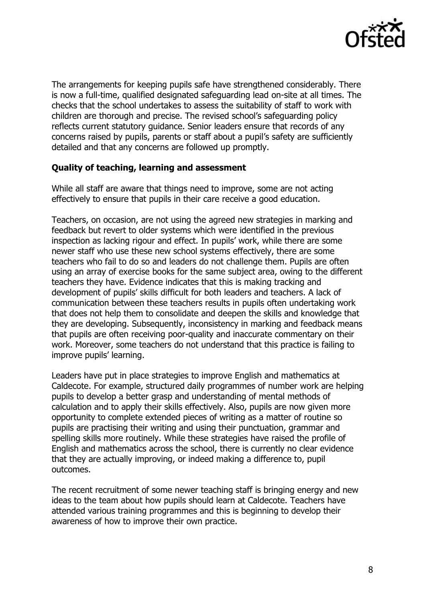

The arrangements for keeping pupils safe have strengthened considerably. There is now a full-time, qualified designated safeguarding lead on-site at all times. The checks that the school undertakes to assess the suitability of staff to work with children are thorough and precise. The revised school's safeguarding policy reflects current statutory guidance. Senior leaders ensure that records of any concerns raised by pupils, parents or staff about a pupil's safety are sufficiently detailed and that any concerns are followed up promptly.

### **Quality of teaching, learning and assessment**

While all staff are aware that things need to improve, some are not acting effectively to ensure that pupils in their care receive a good education.

Teachers, on occasion, are not using the agreed new strategies in marking and feedback but revert to older systems which were identified in the previous inspection as lacking rigour and effect. In pupils' work, while there are some newer staff who use these new school systems effectively, there are some teachers who fail to do so and leaders do not challenge them. Pupils are often using an array of exercise books for the same subject area, owing to the different teachers they have. Evidence indicates that this is making tracking and development of pupils' skills difficult for both leaders and teachers. A lack of communication between these teachers results in pupils often undertaking work that does not help them to consolidate and deepen the skills and knowledge that they are developing. Subsequently, inconsistency in marking and feedback means that pupils are often receiving poor-quality and inaccurate commentary on their work. Moreover, some teachers do not understand that this practice is failing to improve pupils' learning.

Leaders have put in place strategies to improve English and mathematics at Caldecote. For example, structured daily programmes of number work are helping pupils to develop a better grasp and understanding of mental methods of calculation and to apply their skills effectively. Also, pupils are now given more opportunity to complete extended pieces of writing as a matter of routine so pupils are practising their writing and using their punctuation, grammar and spelling skills more routinely. While these strategies have raised the profile of English and mathematics across the school, there is currently no clear evidence that they are actually improving, or indeed making a difference to, pupil outcomes.

The recent recruitment of some newer teaching staff is bringing energy and new ideas to the team about how pupils should learn at Caldecote. Teachers have attended various training programmes and this is beginning to develop their awareness of how to improve their own practice.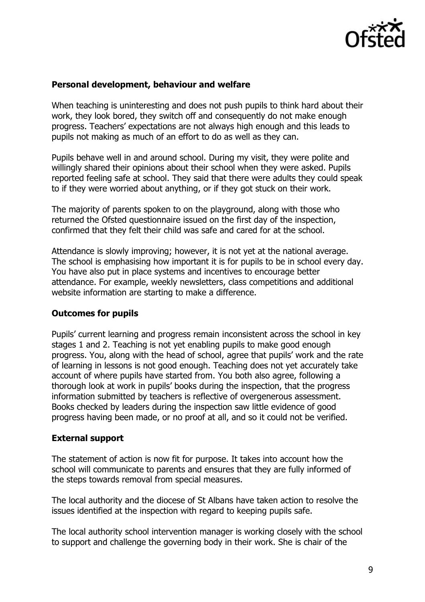

## **Personal development, behaviour and welfare**

When teaching is uninteresting and does not push pupils to think hard about their work, they look bored, they switch off and consequently do not make enough progress. Teachers' expectations are not always high enough and this leads to pupils not making as much of an effort to do as well as they can.

Pupils behave well in and around school. During my visit, they were polite and willingly shared their opinions about their school when they were asked. Pupils reported feeling safe at school. They said that there were adults they could speak to if they were worried about anything, or if they got stuck on their work.

The majority of parents spoken to on the playground, along with those who returned the Ofsted questionnaire issued on the first day of the inspection, confirmed that they felt their child was safe and cared for at the school.

Attendance is slowly improving; however, it is not yet at the national average. The school is emphasising how important it is for pupils to be in school every day. You have also put in place systems and incentives to encourage better attendance. For example, weekly newsletters, class competitions and additional website information are starting to make a difference.

### **Outcomes for pupils**

Pupils' current learning and progress remain inconsistent across the school in key stages 1 and 2. Teaching is not yet enabling pupils to make good enough progress. You, along with the head of school, agree that pupils' work and the rate of learning in lessons is not good enough. Teaching does not yet accurately take account of where pupils have started from. You both also agree, following a thorough look at work in pupils' books during the inspection, that the progress information submitted by teachers is reflective of overgenerous assessment. Books checked by leaders during the inspection saw little evidence of good progress having been made, or no proof at all, and so it could not be verified.

### **External support**

The statement of action is now fit for purpose. It takes into account how the school will communicate to parents and ensures that they are fully informed of the steps towards removal from special measures.

The local authority and the diocese of St Albans have taken action to resolve the issues identified at the inspection with regard to keeping pupils safe.

The local authority school intervention manager is working closely with the school to support and challenge the governing body in their work. She is chair of the